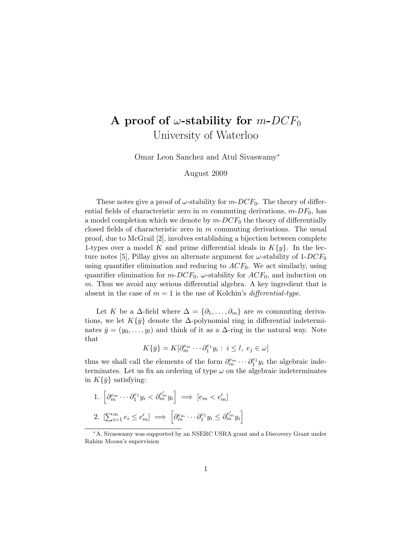## A proof of  $\omega$ -stability for  $m$ -DCF<sub>0</sub> University of Waterloo

Omar Leon Sanchez and Atul Sivaswamy<sup>∗</sup>

## August 2009

These notes give a proof of  $\omega$ -stability for  $m$ -DCF<sub>0</sub>. The theory of differential fields of characteristic zero in m commuting derivations,  $m$ -D $F_0$ , has a model completion which we denote by  $m$ - $DCF<sub>0</sub>$  the theory of differentially closed fields of characteristic zero in  $m$  commuting derivations. The usual proof, due to McGrail [2], involves establishing a bijection between complete 1-types over a model K and prime differential ideals in  $K\{y\}$ . In the lecture notes [5], Pillay gives an alternate argument for  $\omega$ -stability of 1-DCF<sub>0</sub> using quantifier elimination and reducing to  $ACF_0$ . We act similarly, using quantifier elimination for  $m$ -DCF<sub>0</sub>,  $\omega$ -stability for  $ACF_0$ , and induction on m. Thus we avoid any serious differential algebra. A key ingredient that is absent in the case of  $m = 1$  is the use of Kolchin's *differential-type*.

Let K be a  $\Delta$ -field where  $\Delta = {\partial_1, \ldots, \partial_m}$  are m commuting derivations, we let  $K\{\bar{y}\}\$  denote the  $\Delta$ -polynomial ring in differential indeterminates  $\bar{y} = (y_0, \ldots, y_l)$  and think of it as a  $\Delta$ -ring in the natural way. Note that

$$
K\{\bar{y}\} = K[\partial_m^{e_m} \cdots \partial_1^{e_1} y_i : i \le l, e_j \in \omega]
$$

thus we shall call the elements of the form  $\partial_m^{e_m} \cdots \partial_1^{e_1} y_i$  the algebraic indeterminates. Let us fix an ordering of type  $\omega$  on the algebraic indeterminates in  $K\{\bar{y}\}\$  satisfying:

1. 
$$
\left[\partial_m^{e_m} \cdots \partial_1^{e_1} y_i < \partial_m^{e'_m} y_i\right] \Longrightarrow [e_m < e'_m]
$$
  
2.  $\left[\sum_{i=1}^m e_i \le e'_m\right] \Longrightarrow \left[\partial_m^{e_m} \cdots \partial_1^{e_1} y_i \le \partial_m^{e'_m} y_i\right]$ 

<sup>∗</sup>A. Sivaswamy was supported by an NSERC USRA grant and a Discovery Grant under Rahim Moosa's supervision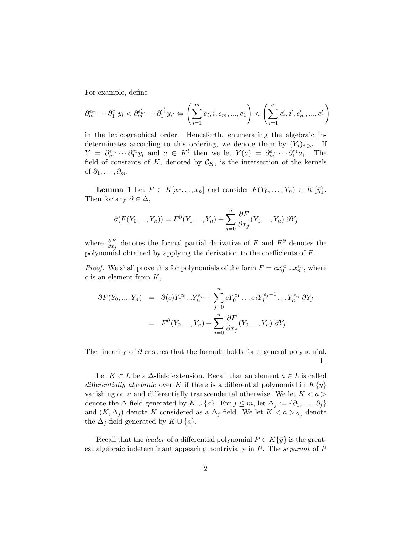For example, define

$$
\partial_m^{e_m}\cdots\partial_1^{e_1}y_i<\partial_m^{e'_m}\cdots\partial_1^{e'_1}y_{i'}\Leftrightarrow \left(\sum_{i=1}^me_i,i,e_m,...,e_1\right)<\left(\sum_{i=1}^me'_i,i',e'_m,...,e'_1\right)
$$

in the lexicographical order. Henceforth, enumerating the algebraic indeterminates according to this ordering, we denote them by  $(Y_j)_{j\in\omega}$ . If  $Y = \partial_m^{e_m} \cdots \partial_1^{e_1} y_i$  and  $\bar{a} \in K^l$  then we let  $Y(\bar{a}) = \partial_m^{e_m} \cdots \partial_1^{e_1} a_i$ . The field of constants of K, denoted by  $\mathcal{C}_K$ , is the intersection of the kernels of  $\partial_1, \ldots, \partial_m$ .

**Lemma 1** Let  $F \in K[x_0, ..., x_n]$  and consider  $F(Y_0, ..., Y_n) \in K\{\bar{y}\}.$ Then for any  $\partial \in \Delta$ ,

$$
\partial(F(Y_0, ..., Y_n)) = F^{\partial}(Y_0, ..., Y_n) + \sum_{j=0}^{n} \frac{\partial F}{\partial x_j}(Y_0, ..., Y_n) \partial Y_j
$$

where  $\frac{\partial F}{\partial x_j}$  denotes the formal partial derivative of F and  $F^{\partial}$  denotes the polynomial obtained by applying the derivation to the coefficients of F.

*Proof.* We shall prove this for polynomials of the form  $F = cx_0^{e_0}...x_n^{e_n}$ , where  $c$  is an element from  $K$ ,

$$
\partial F(Y_0, ..., Y_n) = \partial(c)Y_0^{e_0}...Y_n^{e_n} + \sum_{j=0}^n cY_0^{e_1}...e_jY_j^{e_j-1}...Y_n^{e_n} \partial Y_j
$$

$$
= F^{\partial}(Y_0, ..., Y_n) + \sum_{j=0}^n \frac{\partial F}{\partial x_j}(Y_0, ..., Y_n) \partial Y_j
$$

The linearity of  $\partial$  ensures that the formula holds for a general polynomial.  $\Box$ 

Let  $K \subset L$  be a  $\Delta$ -field extension. Recall that an element  $a \in L$  is called differentially algebraic over K if there is a differential polynomial in  $K\{y\}$ vanishing on a and differentially transcendental otherwise. We let  $K < a >$ denote the  $\Delta$ -field generated by  $K \cup \{a\}$ . For  $j \leq m$ , let  $\Delta_j := \{\partial_1, \ldots, \partial_j\}$ and  $(K, \Delta_j)$  denote K considered as a  $\Delta_j$ -field. We let  $K < a >_{\Delta_j}$  denote the  $\Delta_i$ -field generated by  $K \cup \{a\}.$ 

Recall that the *leader* of a differential polynomial  $P \in K\{\bar{y}\}\$ is the greatest algebraic indeterminant appearing nontrivially in P. The separant of P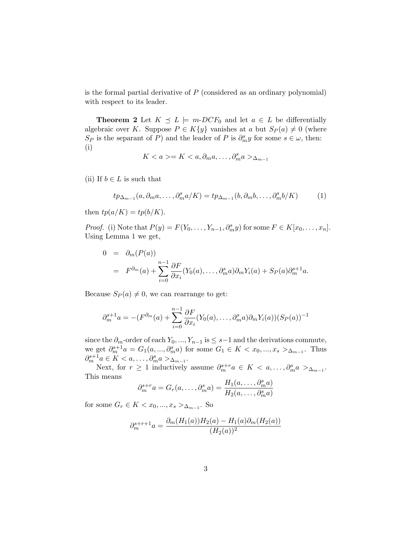is the formal partial derivative of  $P$  (considered as an ordinary polynomial) with respect to its leader.

**Theorem 2** Let  $K \preceq L$   $\models$  m-DCF<sub>0</sub> and let  $a \in L$  be differentially algebraic over K. Suppose  $P \in K\{y\}$  vanishes at a but  $S_P(a) \neq 0$  (where S<sub>P</sub> is the separant of P) and the leader of P is  $\partial_m^s y$  for some  $s \in \omega$ , then: (i)

$$
K < a > = K < a, \partial_m a, \dots, \partial_m^s a >_{\Delta_{m-1}}
$$

(ii) If  $b \in L$  is such that

$$
tp_{\Delta_{m-1}}(a,\partial_m a,\ldots,\partial_m^s a/K) = tp_{\Delta_{m-1}}(b,\partial_m b,\ldots,\partial_m^s b/K)
$$
 (1)

then  $tp(a/K) = tp(b/K)$ .

*Proof.* (i) Note that  $P(y) = F(Y_0, \ldots, Y_{n-1}, \partial_m^s y)$  for some  $F \in K[x_0, \ldots, x_n]$ . Using Lemma 1 we get,

$$
0 = \partial_m(P(a))
$$
  
=  $F^{\partial_m}(a) + \sum_{i=0}^{n-1} \frac{\partial F}{\partial x_i} (Y_0(a), \dots, \partial_m^s a) \partial_m Y_i(a) + S_P(a) \partial_m^{s+1} a.$ 

Because  $S_P(a) \neq 0$ , we can rearrange to get:

$$
\partial_m^{s+1} a = -(F^{\partial_m}(a) + \sum_{i=0}^{n-1} \frac{\partial F}{\partial x_i} (Y_0(a), \dots, \partial_m^s a) \partial_m Y_i(a)) (S_P(a))^{-1}
$$

since the  $\partial_m$ -order of each  $Y_0, ..., Y_{n-1}$  is  $\leq s-1$  and the derivations commute, we get  $\partial_m^{s+1} a = G_1(a, ..., \partial_m^s a)$  for some  $G_1 \in K < x_0, ..., x_s >_{\Delta_{m-1}}$ . Thus  $\partial_m^{s+1} a \in K < a, \ldots, \partial_m^s a >_{\Delta_{m-1}}.$ 

Next, for  $r \geq 1$  inductively assume  $\partial_m^{s+r} a \in K < a, \ldots, \partial_m^s a >_{\Delta_{m-1}}$ . This means

$$
\partial_m^{s+r} a = G_r(a, \dots, \partial_m^s a) = \frac{H_1(a, \dots, \partial_m^s a)}{H_2(a, \dots, \partial_m^s a)}
$$

for some  $G_r \in K < x_0, ..., x_s >_{\Delta_{m-1}}$ . So

$$
\partial_m^{s+r+1} a = \frac{\partial_m (H_1(a)) H_2(a) - H_1(a) \partial_m (H_2(a))}{(H_2(a))^2}
$$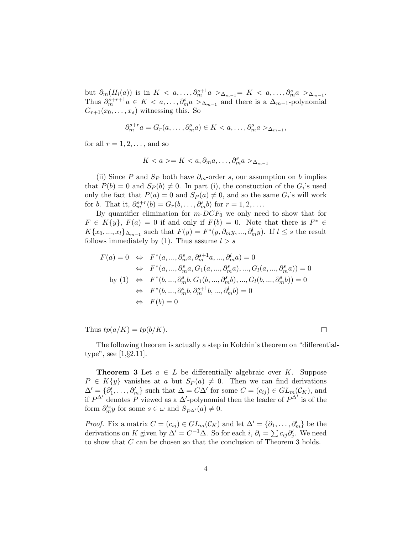but  $\partial_m(H_i(a))$  is in  $K < a, \ldots, \partial_m^{s+1}a >_{\Delta_{m-1}} K < a, \ldots, \partial_m^s a >_{\Delta_{m-1}}$ . Thus  $\partial_m^{s+r+1}a \in K < a, \ldots, \partial_m^s a >_{\Delta_{m-1}}$  and there is a  $\Delta_{m-1}$ -polynomial  $G_{r+1}(x_0,\ldots,x_s)$  witnessing this. So

$$
\partial_m^{s+r} a = G_r(a, \dots, \partial_m^s a) \in K < a, \dots, \partial_m^s a >_{\Delta_{m-1}},
$$

for all  $r = 1, 2, \ldots$ , and so

$$
K < a > = K < a, \partial_m a, \dots, \partial_m^s a > \Delta_{m-1}
$$

(ii) Since P and  $S_P$  both have  $\partial_m$ -order s, our assumption on b implies that  $P(b) = 0$  and  $S_P(b) \neq 0$ . In part (i), the constuction of the  $G_i$ 's used only the fact that  $P(a) = 0$  and  $S_P(a) \neq 0$ , and so the same  $G_i$ 's will work for b. That it,  $\partial_m^{s+r}(b) = G_r(b, \ldots, \partial_m^s b)$  for  $r = 1, 2, \ldots$ .

By quantifier elimination for  $m$ -DC $F_0$  we only need to show that for  $F \in K\{y\}, F(a) = 0$  if and only if  $F(b) = 0$ . Note that there is  $F^* \in$  $K\{x_0, ..., x_l\}_{\Delta_{m-1}}$  such that  $F(y) = F^*(y, \partial_m y, ..., \partial_m^l y)$ . If  $l \leq s$  the result follows immediately by (1). Thus assume  $l > s$ 

$$
F(a) = 0 \Leftrightarrow F^*(a, ..., \partial_m^s a, \partial_m^{s+1} a, ..., \partial_m^l a) = 0
$$
  
\n
$$
\Leftrightarrow F^*(a, ..., \partial_m^s a, G_1(a, ..., \partial_m^s a), ..., G_l(a, ..., \partial_m^s a)) = 0
$$
  
\nby (1) 
$$
\Leftrightarrow F^*(b, ..., \partial_m^s b, G_1(b, ..., \partial_m^s b), ..., G_l(b, ..., \partial_m^s b)) = 0
$$
  
\n
$$
\Leftrightarrow F^*(b, ..., \partial_m^s b, \partial_m^{s+1} b, ..., \partial_m^l b) = 0
$$
  
\n
$$
\Leftrightarrow F(b) = 0
$$

Thus  $tp(a/K) = tp(b/K)$ .

 $\Box$ 

The following theorem is actually a step in Kolchin's theorem on "differentialtype", see [1,§2.11].

**Theorem 3** Let  $a \in L$  be differentially algebraic over K. Suppose  $P \in K\{y\}$  vanishes at a but  $S_P(a) \neq 0$ . Then we can find derivations  $\Delta' = \{\partial'_1, \ldots, \partial'_m\}$  such that  $\Delta = C\Delta'$  for some  $C = (c_{ij}) \in GL_m(\mathcal{C}_K)$ , and if  $P^{\Delta'}$  denotes P viewed as a  $\Delta'$ -polynomial then the leader of  $P^{\Delta'}$  is of the form  $\partial_m^{\prime s} y$  for some  $s \in \omega$  and  $S_{P^{\Delta'}}(a) \neq 0$ .

*Proof.* Fix a matrix  $C = (c_{ij}) \in GL_m(\mathcal{C}_K)$  and let  $\Delta' = \{\partial_1, \ldots, \partial_m'\}$  be the derivations on K given by  $\Delta' = C^{-1}\Delta$ . So for each i,  $\partial_i = \sum c_{ij}\partial'_j$ . We need to show that C can be chosen so that the conclusion of Theorem 3 holds.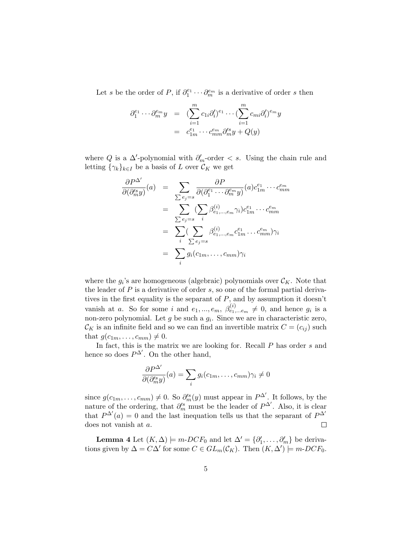Let s be the order of P, if  $\partial_1^{e_1} \cdots \partial_m^{e_m}$  is a derivative of order s then

$$
\partial_1^{e_1} \cdots \partial_m^{e_m} y = \left( \sum_{i=1}^m c_{1i} \partial_i' \right)^{e_1} \cdots \left( \sum_{i=1}^m c_{mi} \partial_i' \right)^{e_m} y
$$

$$
= c_{1m}^{e_1} \cdots c_{mm}^{e_m} \partial_m' y + Q(y)
$$

where Q is a  $\Delta'$ -polynomial with  $\partial'_m$ -order  $\langle s \rangle$ . Using the chain rule and letting  $\{\gamma_k\}_{k\in I}$  be a basis of L over  $\mathcal{C}_K$  we get

$$
\frac{\partial P^{\Delta'}}{\partial(\partial_m^{s} y)}(a) = \sum_{\sum e_j = s} \frac{\partial P}{\partial(\partial_1^{e_1} \cdots \partial_m^{e_m} y)}(a) c_{1m}^{e_1} \cdots c_{mm}^{e_m}
$$

$$
= \sum_{\sum e_j = s} (\sum_i \beta_{e_1, \dots, e_m}^{(i)} \gamma_i) c_{1m}^{e_1} \cdots c_{mm}^{e_m}
$$

$$
= \sum_i (\sum_{\sum e_j = s} \beta_{e_1, \dots, e_m}^{(i)} c_{1m}^{e_1} \cdots c_{mm}^{e_m}) \gamma_i
$$

$$
= \sum_i g_i(c_{1m}, \dots, c_{mm}) \gamma_i
$$

where the  $g_i$ 's are homogeneous (algebraic) polynomials over  $\mathcal{C}_K$ . Note that the leader of  $P$  is a derivative of order  $s$ , so one of the formal partial derivatives in the first equality is the separant of  $P$ , and by assumption it doesn't vanish at a. So for some i and  $e_1, ..., e_m$ ,  $\beta_{e_1,...e_m}^{(i)} \neq 0$ , and hence  $g_i$  is a non-zero polynomial. Let  $g$  be such a  $g_i$ . Since we are in characteristic zero,  $\mathcal{C}_K$  is an infinite field and so we can find an invertible matrix  $C = (c_{ij})$  such that  $g(c_{1m}, \ldots, c_{mm}) \neq 0$ .

In fact, this is the matrix we are looking for. Recall  $P$  has order  $s$  and hence so does  $P^{\Delta'}$ . On the other hand,

$$
\frac{\partial P^{\Delta'}}{\partial(\partial_{m}^{\prime s}y)}(a) = \sum_{i} g_{i}(c_{1m}, \dots, c_{mm}) \gamma_{i} \neq 0
$$

since  $g(c_{1m}, \ldots, c_{mm}) \neq 0$ . So  $\partial_m^{s}(y)$  must appear in  $P^{\Delta'}$ . It follows, by the nature of the ordering, that  $\partial_m^{\prime s}$  must be the leader of  $P^{\Delta'}$ . Also, it is clear that  $P^{\Delta'}(a) = 0$  and the last inequation tells us that the separant of  $P^{\Delta'}$ does not vanish at a.  $\Box$ 

**Lemma 4** Let  $(K, \Delta) \models m\text{-}DCF_0$  and let  $\Delta' = \{\partial'_1, \ldots, \partial'_m\}$  be derivations given by  $\Delta = C\Delta'$  for some  $C \in GL_m(\mathcal{C}_K)$ . Then  $(K, \Delta') \models m\text{-}DCF_0$ .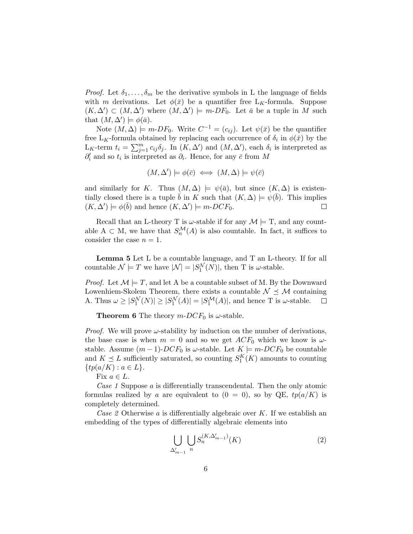*Proof.* Let  $\delta_1, \ldots, \delta_m$  be the derivative symbols in L the language of fields with m derivations. Let  $\phi(\bar{x})$  be a quantifier free L<sub>K</sub>-formula. Suppose  $(K, \Delta') \subset (M, \Delta')$  where  $(M, \Delta') \models m$ -DF<sub>0</sub>. Let  $\bar{a}$  be a tuple in M such that  $(M, \Delta') \models \phi(\bar{a}).$ 

Note  $(M, \Delta) \models m\text{-}DF_0$ . Write  $C^{-1} = (c_{ij})$ . Let  $\psi(\bar{x})$  be the quantifier free L<sub>K</sub>-formula obtained by replacing each occurrence of  $\delta_i$  in  $\phi(\bar{x})$  by the L<sub>K</sub>-term  $t_i = \sum_{j=1}^m c_{ij} \delta_j$ . In  $(K, \Delta')$  and  $(M, \Delta')$ , each  $\delta_i$  is interpreted as  $\partial_i'$  and so  $t_i$  is interpreted as  $\partial_i$ . Hence, for any  $\bar{c}$  from M

$$
(M, \Delta') \models \phi(\bar{c}) \iff (M, \Delta) \models \psi(\bar{c})
$$

and similarly for K. Thus  $(M, \Delta) \models \psi(\bar{a})$ , but since  $(K, \Delta)$  is existentially closed there is a tuple  $\bar{b}$  in K such that  $(K, \Delta) \models \psi(\bar{b})$ . This implies  $(K, \Delta') \models \phi(\bar{b})$  and hence  $(K, \Delta') \models m\text{-}DCF_0$ .  $\Box$ 

Recall that an L-theory T is  $\omega$ -stable if for any  $\mathcal{M} \models T$ , and any countable  $A \subset M$ , we have that  $S_n^{\mathcal{M}}(A)$  is also countable. In fact, it suffices to consider the case  $n = 1$ .

Lemma 5 Let L be a countable language, and T an L-theory. If for all countable  $\mathcal{N} \models T$  we have  $|\mathcal{N}| = |S_1^{\mathcal{N}}(N)|$ , then T is  $\omega$ -stable.

*Proof.* Let  $\mathcal{M} \models T$ , and let A be a countable subset of M. By the Downward Lowenhiem-Skolem Theorem, there exists a countable  $\mathcal{N} \preceq \mathcal{M}$  containing A. Thus  $\omega \geq |S_1^{\mathcal{N}}(N)| \geq |S_1^{\mathcal{N}}(A)| = |S_1^{\mathcal{M}}(A)|$ , and hence T is  $\omega$ -stable.  $\Box$ 

**Theorem 6** The theory  $m\text{-}DCF_0$  is  $\omega$ -stable.

*Proof.* We will prove  $\omega$ -stability by induction on the number of derivations, the base case is when  $m = 0$  and so we get  $ACF_0$  which we know is  $\omega$ stable. Assume  $(m-1)$ - $DCF_0$  is  $\omega$ -stable. Let  $K \models m$ - $DCF_0$  be countable and  $K \preceq L$  sufficiently saturated, so counting  $S_1^K(K)$  amounts to counting  $\{tp(a/K) : a \in L\}.$ 

Fix  $a \in L$ .

Case 1 Suppose a is differentially transcendental. Then the only atomic formulas realized by a are equivalent to  $(0 = 0)$ , so by QE,  $tp(a/K)$  is completely determined.

Case 2 Otherwise a is differentially algebraic over  $K$ . If we establish an embedding of the types of differentially algebraic elements into

$$
\bigcup_{\Delta'_{m-1}} \bigcup_{n} S_n^{(K,\Delta'_{m-1})}(K) \tag{2}
$$